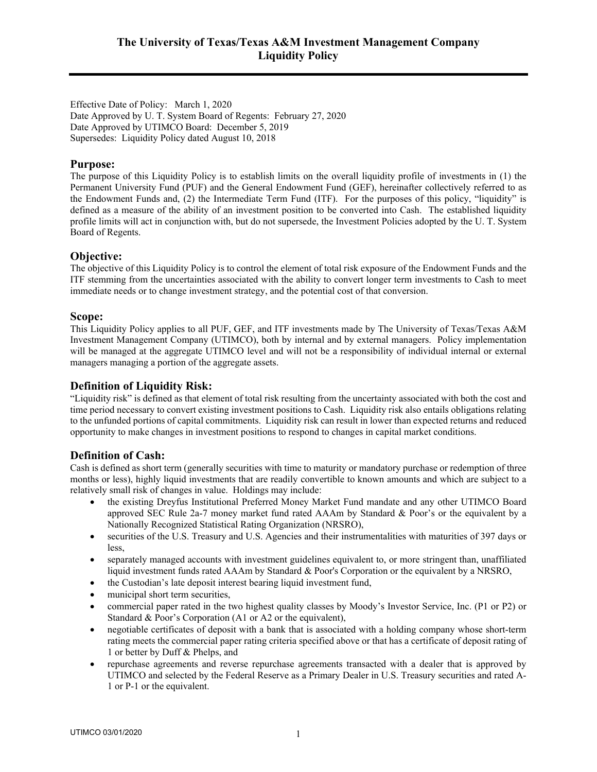Effective Date of Policy: March 1, 2020 Date Approved by U. T. System Board of Regents: February 27, 2020 Date Approved by UTIMCO Board: December 5, 2019 Supersedes: Liquidity Policy dated August 10, 2018

## **Purpose:**

The purpose of this Liquidity Policy is to establish limits on the overall liquidity profile of investments in (1) the Permanent University Fund (PUF) and the General Endowment Fund (GEF), hereinafter collectively referred to as the Endowment Funds and, (2) the Intermediate Term Fund (ITF). For the purposes of this policy, "liquidity" is defined as a measure of the ability of an investment position to be converted into Cash. The established liquidity profile limits will act in conjunction with, but do not supersede, the Investment Policies adopted by the U. T. System Board of Regents.

## **Objective:**

The objective of this Liquidity Policy is to control the element of total risk exposure of the Endowment Funds and the ITF stemming from the uncertainties associated with the ability to convert longer term investments to Cash to meet immediate needs or to change investment strategy, and the potential cost of that conversion.

## **Scope:**

This Liquidity Policy applies to all PUF, GEF, and ITF investments made by The University of Texas/Texas A&M Investment Management Company (UTIMCO), both by internal and by external managers. Policy implementation will be managed at the aggregate UTIMCO level and will not be a responsibility of individual internal or external managers managing a portion of the aggregate assets.

## **Definition of Liquidity Risk:**

"Liquidity risk" is defined as that element of total risk resulting from the uncertainty associated with both the cost and time period necessary to convert existing investment positions to Cash. Liquidity risk also entails obligations relating to the unfunded portions of capital commitments. Liquidity risk can result in lower than expected returns and reduced opportunity to make changes in investment positions to respond to changes in capital market conditions.

# **Definition of Cash:**

Cash is defined as short term (generally securities with time to maturity or mandatory purchase or redemption of three months or less), highly liquid investments that are readily convertible to known amounts and which are subject to a relatively small risk of changes in value. Holdings may include:

- the existing Dreyfus Institutional Preferred Money Market Fund mandate and any other UTIMCO Board approved SEC Rule 2a-7 money market fund rated AAAm by Standard & Poor's or the equivalent by a Nationally Recognized Statistical Rating Organization (NRSRO),
- securities of the U.S. Treasury and U.S. Agencies and their instrumentalities with maturities of 397 days or less,
- separately managed accounts with investment guidelines equivalent to, or more stringent than, unaffiliated liquid investment funds rated AAAm by Standard & Poor's Corporation or the equivalent by a NRSRO,
- the Custodian's late deposit interest bearing liquid investment fund,
- municipal short term securities,
- commercial paper rated in the two highest quality classes by Moody's Investor Service, Inc. (P1 or P2) or Standard & Poor's Corporation (A1 or A2 or the equivalent),
- negotiable certificates of deposit with a bank that is associated with a holding company whose short-term rating meets the commercial paper rating criteria specified above or that has a certificate of deposit rating of 1 or better by Duff & Phelps, and
- repurchase agreements and reverse repurchase agreements transacted with a dealer that is approved by UTIMCO and selected by the Federal Reserve as a Primary Dealer in U.S. Treasury securities and rated A-1 or P-1 or the equivalent.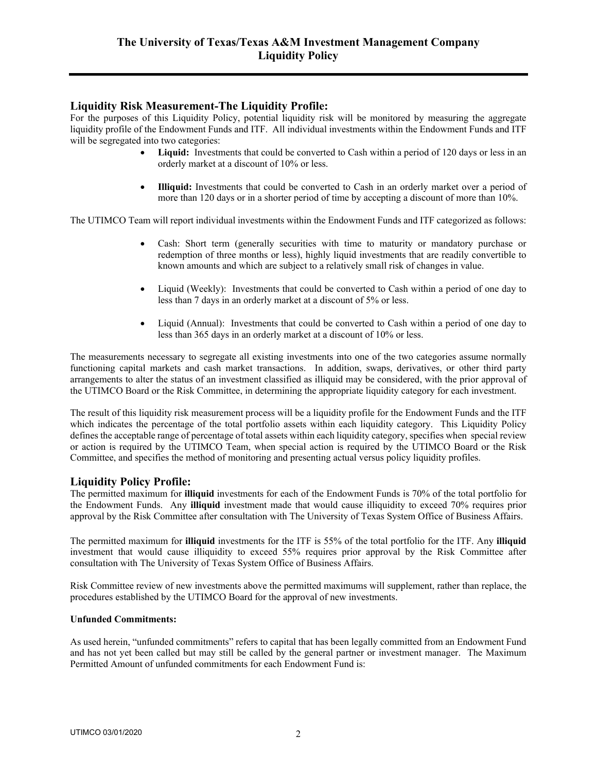# **Liquidity Risk Measurement-The Liquidity Profile:**

For the purposes of this Liquidity Policy, potential liquidity risk will be monitored by measuring the aggregate liquidity profile of the Endowment Funds and ITF. All individual investments within the Endowment Funds and ITF will be segregated into two categories:

- **Liquid:** Investments that could be converted to Cash within a period of 120 days or less in an orderly market at a discount of 10% or less.
- **Illiquid:** Investments that could be converted to Cash in an orderly market over a period of more than 120 days or in a shorter period of time by accepting a discount of more than 10%.

The UTIMCO Team will report individual investments within the Endowment Funds and ITF categorized as follows:

- Cash: Short term (generally securities with time to maturity or mandatory purchase or redemption of three months or less), highly liquid investments that are readily convertible to known amounts and which are subject to a relatively small risk of changes in value.
- Liquid (Weekly): Investments that could be converted to Cash within a period of one day to less than 7 days in an orderly market at a discount of 5% or less.
- Liquid (Annual): Investments that could be converted to Cash within a period of one day to less than 365 days in an orderly market at a discount of 10% or less.

The measurements necessary to segregate all existing investments into one of the two categories assume normally functioning capital markets and cash market transactions. In addition, swaps, derivatives, or other third party arrangements to alter the status of an investment classified as illiquid may be considered, with the prior approval of the UTIMCO Board or the Risk Committee, in determining the appropriate liquidity category for each investment.

The result of this liquidity risk measurement process will be a liquidity profile for the Endowment Funds and the ITF which indicates the percentage of the total portfolio assets within each liquidity category. This Liquidity Policy defines the acceptable range of percentage of total assets within each liquidity category, specifies when special review or action is required by the UTIMCO Team, when special action is required by the UTIMCO Board or the Risk Committee, and specifies the method of monitoring and presenting actual versus policy liquidity profiles.

## **Liquidity Policy Profile:**

The permitted maximum for **illiquid** investments for each of the Endowment Funds is 70% of the total portfolio for the Endowment Funds. Any **illiquid** investment made that would cause illiquidity to exceed 70% requires prior approval by the Risk Committee after consultation with The University of Texas System Office of Business Affairs.

The permitted maximum for **illiquid** investments for the ITF is 55% of the total portfolio for the ITF. Any **illiquid** investment that would cause illiquidity to exceed 55% requires prior approval by the Risk Committee after consultation with The University of Texas System Office of Business Affairs.

Risk Committee review of new investments above the permitted maximums will supplement, rather than replace, the procedures established by the UTIMCO Board for the approval of new investments.

#### **Unfunded Commitments:**

As used herein, "unfunded commitments" refers to capital that has been legally committed from an Endowment Fund and has not yet been called but may still be called by the general partner or investment manager.The Maximum Permitted Amount of unfunded commitments for each Endowment Fund is: